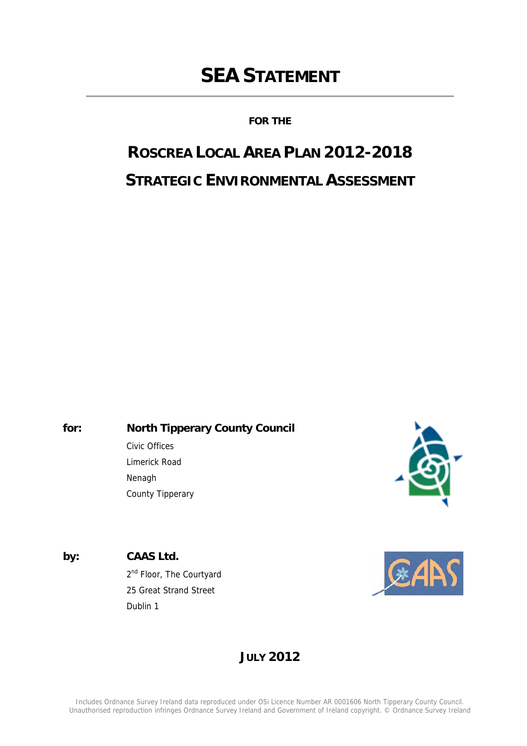# **SEA STATEMENT**

**FOR THE**

# **ROSCREA LOCAL AREA PLAN 2012-2018 STRATEGIC ENVIRONMENTAL ASSESSMENT**

**for: North Tipperary County Council** 

 Civic Offices Limerick Road Nenagh County Tipperary



**by: CAAS Ltd.**

2<sup>nd</sup> Floor, The Courtyard 25 Great Strand Street Dublin 1



### **JULY 2012**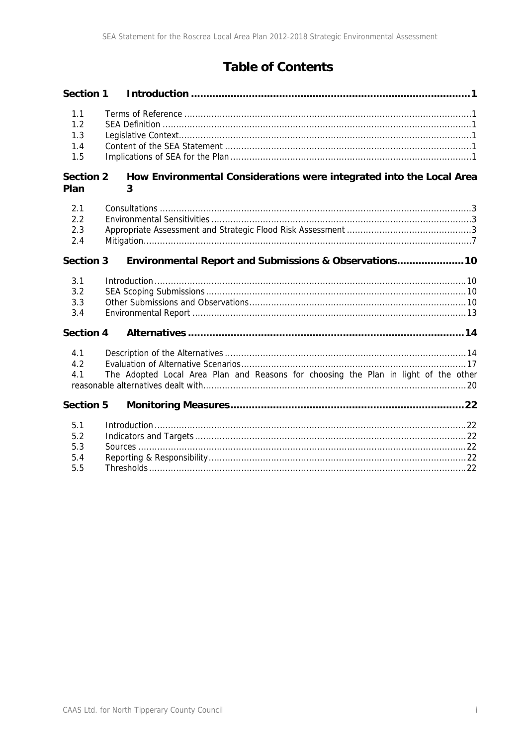### **Table of Contents**

| <b>Section 1</b>                |                                                                                     |  |
|---------------------------------|-------------------------------------------------------------------------------------|--|
| 1.1<br>1.2<br>1.3<br>1.4<br>1.5 |                                                                                     |  |
| <b>Section 2</b><br>Plan        | How Environmental Considerations were integrated into the Local Area<br>3           |  |
| 2.1<br>2.2<br>2.3<br>2.4        |                                                                                     |  |
| <b>Section 3</b>                | Environmental Report and Submissions & Observations 10                              |  |
| 3.1<br>3.2<br>3.3<br>3.4        |                                                                                     |  |
| <b>Section 4</b>                |                                                                                     |  |
| 4.1<br>4.2<br>4.1               | The Adopted Local Area Plan and Reasons for choosing the Plan in light of the other |  |
| <b>Section 5</b>                |                                                                                     |  |
| 5.1<br>5.2<br>5.3<br>5.4<br>5.5 |                                                                                     |  |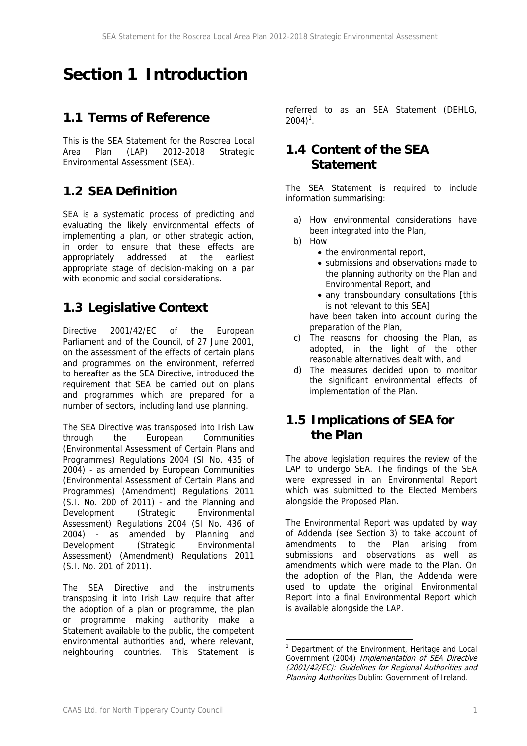## **Section 1 Introduction**

### **1.1 Terms of Reference**

This is the SEA Statement for the Roscrea Local Area Plan (LAP) 2012-2018 Strategic Environmental Assessment (SEA).

### **1.2 SEA Definition**

SEA is a systematic process of predicting and evaluating the likely environmental effects of implementing a plan, or other strategic action, in order to ensure that these effects are appropriately addressed at the earliest appropriate stage of decision-making on a par with economic and social considerations.

### **1.3 Legislative Context**

Directive 2001/42/EC of the European Parliament and of the Council, of 27 June 2001, on the assessment of the effects of certain plans and programmes on the environment, referred to hereafter as the SEA Directive, introduced the requirement that SEA be carried out on plans and programmes which are prepared for a number of sectors, including land use planning.

The SEA Directive was transposed into Irish Law through the European Communities (Environmental Assessment of Certain Plans and Programmes) Regulations 2004 (SI No. 435 of 2004) - as amended by European Communities (Environmental Assessment of Certain Plans and Programmes) (Amendment) Regulations 2011 (S.I. No. 200 of 2011) - and the Planning and Development (Strategic Environmental Assessment) Regulations 2004 (SI No. 436 of 2004) - as amended by Planning and Development (Strategic Environmental Assessment) (Amendment) Regulations 2011 (S.I. No. 201 of 2011).

The SEA Directive and the instruments transposing it into Irish Law require that after the adoption of a plan or programme, the plan or programme making authority make a Statement available to the public, the competent environmental authorities and, where relevant, neighbouring countries. This Statement is

referred to as an SEA Statement (DEHLG,  $2004$ <sup>1</sup>.

### **1.4 Content of the SEA Statement**

The SEA Statement is required to include information summarising:

- a) How environmental considerations have been integrated into the Plan,
- b) How
	- the environmental report,
	- submissions and observations made to the planning authority on the Plan and Environmental Report, and
	- any transboundary consultations [this is not relevant to this SEA] have been taken into account during the preparation of the Plan,
- c) The reasons for choosing the Plan, as adopted, in the light of the other reasonable alternatives dealt with, and
- d) The measures decided upon to monitor the significant environmental effects of implementation of the Plan.

### **1.5 Implications of SEA for the Plan**

The above legislation requires the review of the LAP to undergo SEA. The findings of the SEA were expressed in an Environmental Report which was submitted to the Elected Members alongside the Proposed Plan.

The Environmental Report was updated by way of Addenda (see Section 3) to take account of amendments to the Plan arising from submissions and observations as well as amendments which were made to the Plan. On the adoption of the Plan, the Addenda were used to update the original Environmental Report into a final Environmental Report which is available alongside the LAP.

<sup>1</sup> Department of the Environment, Heritage and Local Government (2004) Implementation of SEA Directive (2001/42/EC): Guidelines for Regional Authorities and Planning Authorities Dublin: Government of Ireland.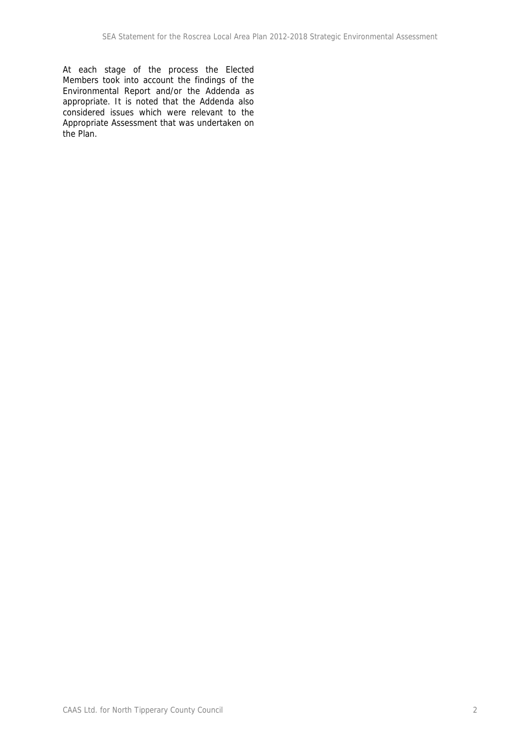At each stage of the process the Elected Members took into account the findings of the Environmental Report and/or the Addenda as appropriate. It is noted that the Addenda also considered issues which were relevant to the Appropriate Assessment that was undertaken on the Plan.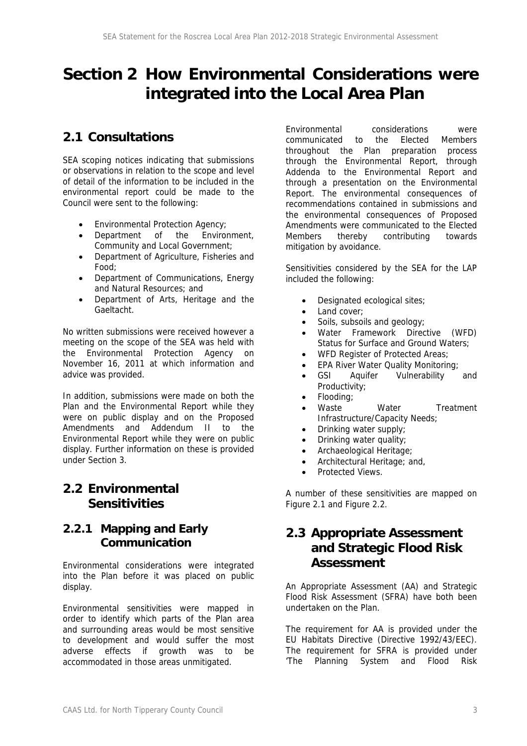## **Section 2 How Environmental Considerations were integrated into the Local Area Plan**

### **2.1 Consultations**

SEA scoping notices indicating that submissions or observations in relation to the scope and level of detail of the information to be included in the environmental report could be made to the Council were sent to the following:

- Environmental Protection Agency;
- Department of the Environment, Community and Local Government;
- Department of Agriculture, Fisheries and Food;
- Department of Communications, Energy and Natural Resources; and
- Department of Arts, Heritage and the Gaeltacht.

No written submissions were received however a meeting on the scope of the SEA was held with the Environmental Protection Agency on November 16, 2011 at which information and advice was provided.

In addition, submissions were made on both the Plan and the Environmental Report while they were on public display and on the Proposed Amendments and Addendum II to the Environmental Report while they were on public display. Further information on these is provided under Section 3.

### **2.2 Environmental Sensitivities**

### **2.2.1 Mapping and Early Communication**

Environmental considerations were integrated into the Plan before it was placed on public display.

Environmental sensitivities were mapped in order to identify which parts of the Plan area and surrounding areas would be most sensitive to development and would suffer the most adverse effects if growth was to be accommodated in those areas unmitigated.

Environmental considerations were communicated to the Elected Members throughout the Plan preparation process through the Environmental Report, through Addenda to the Environmental Report and through a presentation on the Environmental Report. The environmental consequences of recommendations contained in submissions and the environmental consequences of Proposed Amendments were communicated to the Elected Members thereby contributing towards mitigation by avoidance.

Sensitivities considered by the SEA for the LAP included the following:

- Designated ecological sites;
- Land cover:
- Soils, subsoils and geology;
- Water Framework Directive (WFD) Status for Surface and Ground Waters;
- WFD Register of Protected Areas;
- EPA River Water Quality Monitoring;
- GSI Aquifer Vulnerability and Productivity;
- Flooding;
- Waste **Water** Treatment Infrastructure/Capacity Needs;
- Drinking water supply;
- Drinking water quality;
- Archaeological Heritage;
- Architectural Heritage: and,
- Protected Views.

A number of these sensitivities are mapped on Figure 2.1 and Figure 2.2.

### **2.3 Appropriate Assessment and Strategic Flood Risk Assessment**

An Appropriate Assessment (AA) and Strategic Flood Risk Assessment (SFRA) have both been undertaken on the Plan.

The requirement for AA is provided under the EU Habitats Directive (Directive 1992/43/EEC). The requirement for SFRA is provided under 'The Planning System and Flood Risk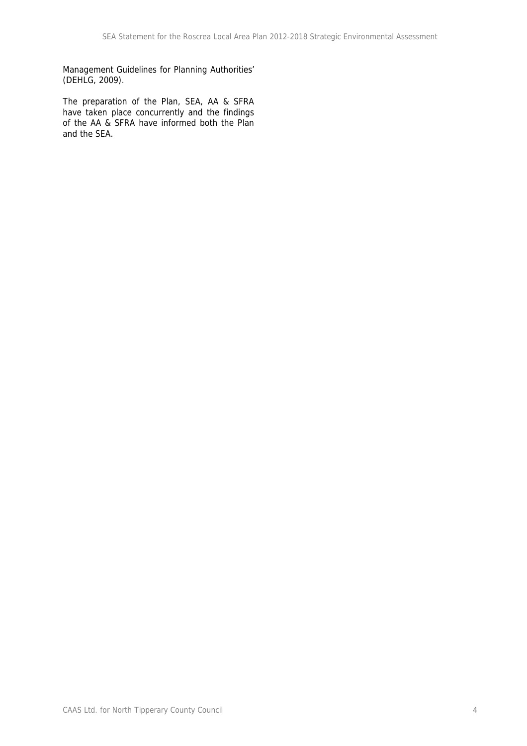Management Guidelines for Planning Authorities' (DEHLG, 2009).

The preparation of the Plan, SEA, AA & SFRA have taken place concurrently and the findings of the AA & SFRA have informed both the Plan and the SEA.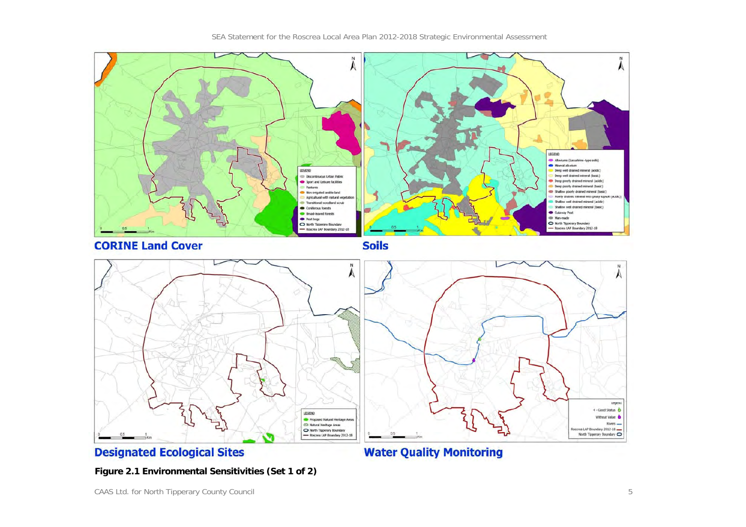

**Figure 2.1 Environmental Sensitivities (Set 1 of 2)**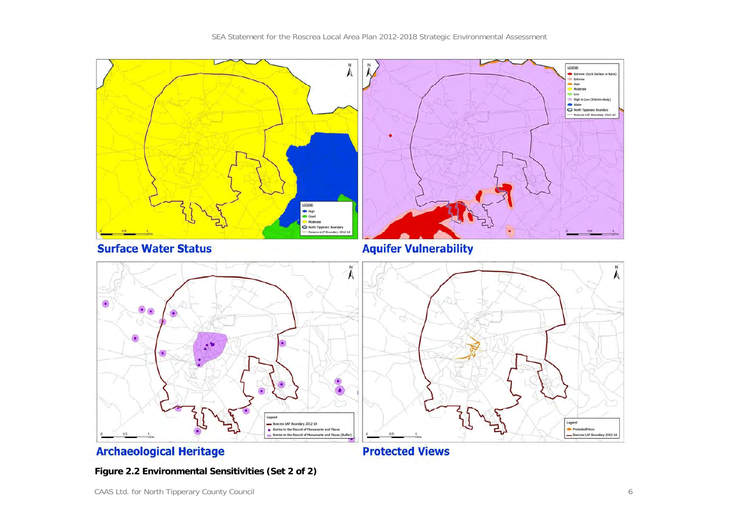SEA Statement for the Roscrea Local Area Plan 2012-2018 Strategic Environmental Assessment



**Figure 2.2 Environmental Sensitivities (Set 2 of 2)**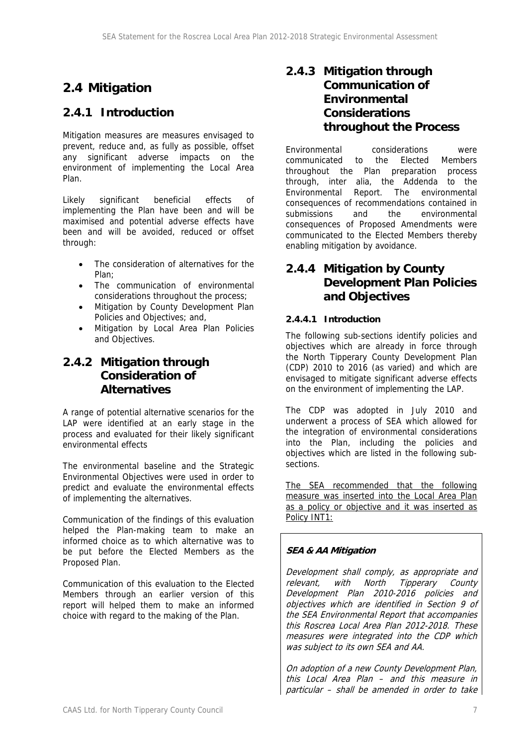### **2.4 Mitigation**

### **2.4.1 Introduction**

Mitigation measures are measures envisaged to prevent, reduce and, as fully as possible, offset any significant adverse impacts on the environment of implementing the Local Area Plan.

Likely significant beneficial effects of implementing the Plan have been and will be maximised and potential adverse effects have been and will be avoided, reduced or offset through:

- The consideration of alternatives for the Plan;
- The communication of environmental considerations throughout the process;
- Mitigation by County Development Plan Policies and Objectives; and,
- Mitigation by Local Area Plan Policies and Objectives.

### **2.4.2 Mitigation through Consideration of Alternatives**

A range of potential alternative scenarios for the LAP were identified at an early stage in the process and evaluated for their likely significant environmental effects

The environmental baseline and the Strategic Environmental Objectives were used in order to predict and evaluate the environmental effects of implementing the alternatives.

Communication of the findings of this evaluation helped the Plan-making team to make an informed choice as to which alternative was to be put before the Elected Members as the Proposed Plan.

Communication of this evaluation to the Elected Members through an earlier version of this report will helped them to make an informed choice with regard to the making of the Plan.

### **2.4.3 Mitigation through Communication of Environmental Considerations throughout the Process**

Environmental considerations were communicated to the Elected Members throughout the Plan preparation process through, inter alia, the Addenda to the Environmental Report. The environmental consequences of recommendations contained in submissions and the environmental consequences of Proposed Amendments were communicated to the Elected Members thereby enabling mitigation by avoidance.

### **2.4.4 Mitigation by County Development Plan Policies and Objectives**

### **2.4.4.1 Introduction**

The following sub-sections identify policies and objectives which are already in force through the North Tipperary County Development Plan (CDP) 2010 to 2016 (as varied) and which are envisaged to mitigate significant adverse effects on the environment of implementing the LAP.

The CDP was adopted in July 2010 and underwent a process of SEA which allowed for the integration of environmental considerations into the Plan, including the policies and objectives which are listed in the following subsections.

The SEA recommended that the following measure was inserted into the Local Area Plan as a policy or objective and it was inserted as Policy INT1:

### **SEA & AA Mitigation**

Development shall comply, as appropriate and relevant, with North Tipperary County Development Plan 2010-2016 policies and objectives which are identified in Section 9 of the SEA Environmental Report that accompanies this Roscrea Local Area Plan 2012-2018. These measures were integrated into the CDP which was subject to its own SEA and AA.

On adoption of a new County Development Plan, this Local Area Plan – and this measure in particular – shall be amended in order to take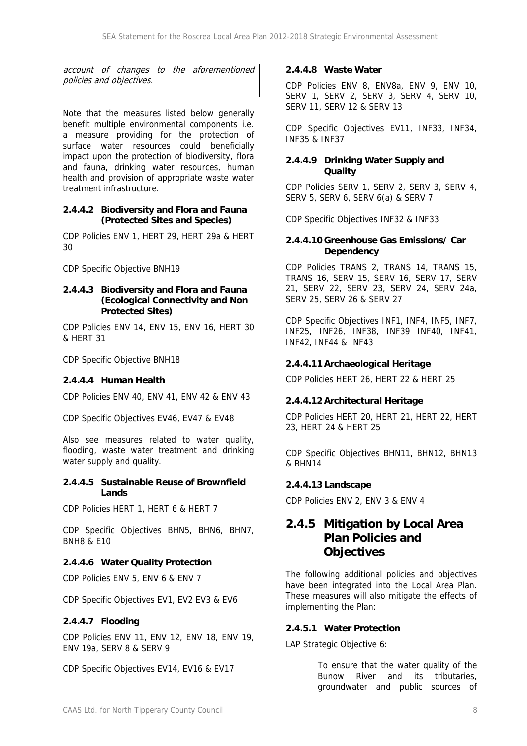account of changes to the aforementioned policies and objectives.

Note that the measures listed below generally benefit multiple environmental components i.e. a measure providing for the protection of surface water resources could beneficially impact upon the protection of biodiversity, flora and fauna, drinking water resources, human health and provision of appropriate waste water treatment infrastructure.

### **2.4.4.2 Biodiversity and Flora and Fauna (Protected Sites and Species)**

CDP Policies ENV 1, HERT 29, HERT 29a & HERT 30

CDP Specific Objective BNH19

#### **2.4.4.3 Biodiversity and Flora and Fauna (Ecological Connectivity and Non Protected Sites)**

CDP Policies ENV 14, ENV 15, ENV 16, HERT 30 & HERT 31

CDP Specific Objective BNH18

### **2.4.4.4 Human Health**

CDP Policies ENV 40, ENV 41, ENV 42 & ENV 43

CDP Specific Objectives EV46, EV47 & EV48

Also see measures related to water quality, flooding, waste water treatment and drinking water supply and quality.

#### **2.4.4.5 Sustainable Reuse of Brownfield Lands**

CDP Policies HERT 1, HERT 6 & HERT 7

CDP Specific Objectives BHN5, BHN6, BHN7, BNH8 & E10

### **2.4.4.6 Water Quality Protection**

CDP Policies ENV 5, ENV 6 & ENV 7

CDP Specific Objectives EV1, EV2 EV3 & EV6

### **2.4.4.7 Flooding**

CDP Policies ENV 11, ENV 12, ENV 18, ENV 19, ENV 19a, SERV 8 & SERV 9

CDP Specific Objectives EV14, EV16 & EV17

#### **2.4.4.8 Waste Water**

CDP Policies ENV 8, ENV8a, ENV 9, ENV 10, SERV 1, SERV 2, SERV 3, SERV 4, SERV 10, SERV 11, SERV 12 & SERV 13

CDP Specific Objectives EV11, INF33, INF34, INF35 & INF37

### **2.4.4.9 Drinking Water Supply and Quality**

CDP Policies SERV 1, SERV 2, SERV 3, SERV 4, SERV 5, SERV 6, SERV 6(a) & SERV 7

CDP Specific Objectives INF32 & INF33

#### **2.4.4.10 Greenhouse Gas Emissions/ Car Dependency**

CDP Policies TRANS 2, TRANS 14, TRANS 15, TRANS 16, SERV 15, SERV 16, SERV 17, SERV 21, SERV 22, SERV 23, SERV 24, SERV 24a, SERV 25, SERV 26 & SERV 27

CDP Specific Objectives INF1, INF4, INF5, INF7, INF25, INF26, INF38, INF39 INF40, INF41, INF42, INF44 & INF43

### **2.4.4.11 Archaeological Heritage**

CDP Policies HERT 26, HERT 22 & HERT 25

### **2.4.4.12 Architectural Heritage**

CDP Policies HERT 20, HERT 21, HERT 22, HERT 23, HERT 24 & HERT 25

CDP Specific Objectives BHN11, BHN12, BHN13 & BHN14

### **2.4.4.13 Landscape**

CDP Policies ENV 2, ENV 3 & ENV 4

### **2.4.5 Mitigation by Local Area Plan Policies and Objectives**

The following additional policies and objectives have been integrated into the Local Area Plan. These measures will also mitigate the effects of implementing the Plan:

### **2.4.5.1 Water Protection**

LAP Strategic Objective 6:

To ensure that the water quality of the Bunow River and its tributaries, groundwater and public sources of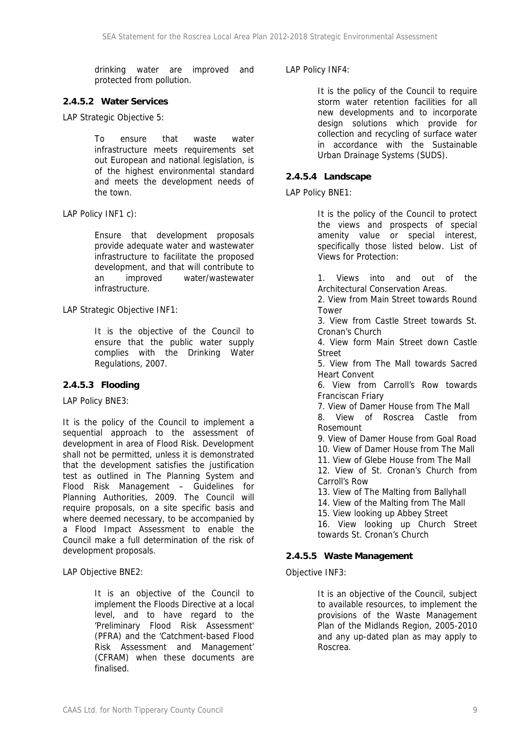drinking water are improved and protected from pollution.

### **2.4.5.2 Water Services**

LAP Strategic Objective 5:

To ensure that waste water infrastructure meets requirements set out European and national legislation, is of the highest environmental standard and meets the development needs of the town.

LAP Policy INF1 c):

Ensure that development proposals provide adequate water and wastewater infrastructure to facilitate the proposed development, and that will contribute to an improved water/wastewater infrastructure.

LAP Strategic Objective INF1:

It is the objective of the Council to ensure that the public water supply complies with the Drinking Water Regulations, 2007.

### **2.4.5.3 Flooding**

LAP Policy BNE3:

It is the policy of the Council to implement a sequential approach to the assessment of development in area of Flood Risk. Development shall not be permitted, unless it is demonstrated that the development satisfies the justification test as outlined in The Planning System and Flood Risk Management – Guidelines for Planning Authorities, 2009. The Council will require proposals, on a site specific basis and where deemed necessary, to be accompanied by a Flood Impact Assessment to enable the Council make a full determination of the risk of development proposals.

LAP Objective BNE2:

It is an objective of the Council to implement the Floods Directive at a local level, and to have regard to the 'Preliminary Flood Risk Assessment' (PFRA) and the 'Catchment-based Flood Risk Assessment and Management' (CFRAM) when these documents are finalised.

### LAP Policy INF4:

It is the policy of the Council to require storm water retention facilities for all new developments and to incorporate design solutions which provide for collection and recycling of surface water in accordance with the Sustainable Urban Drainage Systems (SUDS).

### **2.4.5.4 Landscape**

LAP Policy BNE1:

It is the policy of the Council to protect the views and prospects of special amenity value or special interest, specifically those listed below. List of Views for Protection:

1. Views into and out of the Architectural Conservation Areas.

2. View from Main Street towards Round **Tower** 

3. View from Castle Street towards St. Cronan's Church

4. View form Main Street down Castle **Street** 

5. View from The Mall towards Sacred Heart Convent

6. View from Carroll's Row towards Franciscan Friary

7. View of Damer House from The Mall

8. View of Roscrea Castle from Rosemount

9. View of Damer House from Goal Road

10. View of Damer House from The Mall

11. View of Glebe House from The Mall

12. View of St. Cronan's Church from Carroll's Row

13. View of The Malting from Ballyhall

14. View of the Malting from The Mall

15. View looking up Abbey Street

16. View looking up Church Street towards St. Cronan's Church

### **2.4.5.5 Waste Management**

Objective INF3:

It is an objective of the Council, subject to available resources, to implement the provisions of the Waste Management Plan of the Midlands Region, 2005-2010 and any up-dated plan as may apply to Roscrea.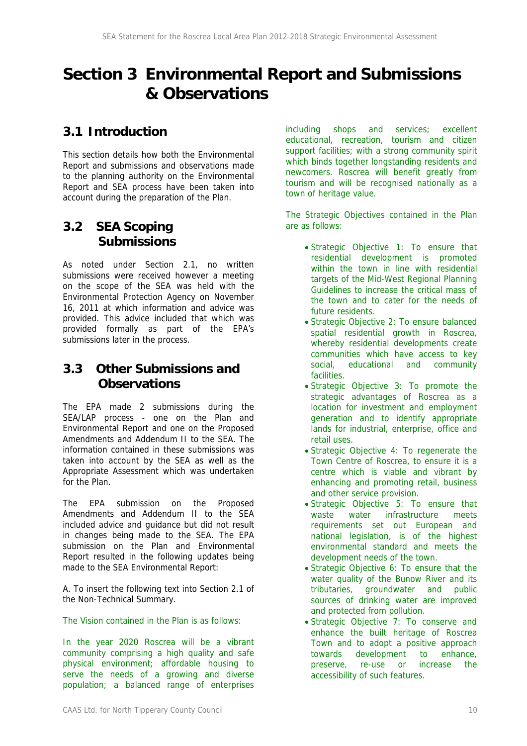## **Section 3 Environmental Report and Submissions & Observations**

### **3.1 Introduction**

This section details how both the Environmental Report and submissions and observations made to the planning authority on the Environmental Report and SEA process have been taken into account during the preparation of the Plan.

### **3.2 SEA Scoping Submissions**

As noted under Section 2.1, no written submissions were received however a meeting on the scope of the SEA was held with the Environmental Protection Agency on November 16, 2011 at which information and advice was provided. This advice included that which was provided formally as part of the EPA's submissions later in the process.

### **3.3 Other Submissions and Observations**

The EPA made 2 submissions during the SEA/LAP process - one on the Plan and Environmental Report and one on the Proposed Amendments and Addendum II to the SEA. The information contained in these submissions was taken into account by the SEA as well as the Appropriate Assessment which was undertaken for the Plan.

The EPA submission on the Proposed Amendments and Addendum II to the SEA included advice and guidance but did not result in changes being made to the SEA. The EPA submission on the Plan and Environmental Report resulted in the following updates being made to the SEA Environmental Report:

A. To insert the following text into Section 2.1 of the Non-Technical Summary.

The Vision contained in the Plan is as follows:

In the year 2020 Roscrea will be a vibrant community comprising a high quality and safe physical environment; affordable housing to serve the needs of a growing and diverse population; a balanced range of enterprises

including shops and services; excellent educational, recreation, tourism and citizen support facilities; with a strong community spirit which binds together longstanding residents and newcomers. Roscrea will benefit greatly from tourism and will be recognised nationally as a town of heritage value.

The Strategic Objectives contained in the Plan are as follows:

- Strategic Objective 1: To ensure that residential development is promoted within the town in line with residential targets of the Mid-West Regional Planning Guidelines to increase the critical mass of the town and to cater for the needs of future residents.
- Strategic Objective 2: To ensure balanced spatial residential growth in Roscrea, whereby residential developments create communities which have access to key social, educational and community facilities.
- Strategic Objective 3: To promote the strategic advantages of Roscrea as a location for investment and employment generation and to identify appropriate lands for industrial, enterprise, office and retail uses.
- Strategic Objective 4: To regenerate the Town Centre of Roscrea, to ensure it is a centre which is viable and vibrant by enhancing and promoting retail, business and other service provision.
- Strategic Objective 5: To ensure that waste water infrastructure meets requirements set out European and national legislation, is of the highest environmental standard and meets the development needs of the town.
- Strategic Objective 6: To ensure that the water quality of the Bunow River and its tributaries, groundwater and public sources of drinking water are improved and protected from pollution.
- Strategic Objective 7: To conserve and enhance the built heritage of Roscrea Town and to adopt a positive approach towards development to enhance, preserve, re-use or increase the accessibility of such features.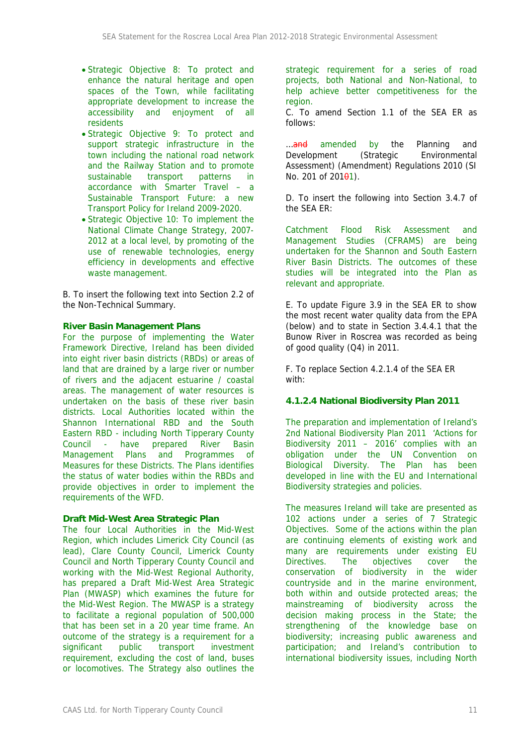- Strategic Objective 8: To protect and enhance the natural heritage and open spaces of the Town, while facilitating appropriate development to increase the accessibility and enjoyment of all residents
- Strategic Objective 9: To protect and support strategic infrastructure in the town including the national road network and the Railway Station and to promote sustainable transport patterns in accordance with Smarter Travel – a Sustainable Transport Future: a new Transport Policy for Ireland 2009-2020.
- Strategic Objective 10: To implement the National Climate Change Strategy, 2007- 2012 at a local level, by promoting of the use of renewable technologies, energy efficiency in developments and effective waste management.

B. To insert the following text into Section 2.2 of the Non-Technical Summary.

#### **River Basin Management Plans**

For the purpose of implementing the Water Framework Directive, Ireland has been divided into eight river basin districts (RBDs) or areas of land that are drained by a large river or number of rivers and the adjacent estuarine / coastal areas. The management of water resources is undertaken on the basis of these river basin districts. Local Authorities located within the Shannon International RBD and the South Eastern RBD - including North Tipperary County Council - have prepared River Basin Management Plans and Programmes of Measures for these Districts. The Plans identifies the status of water bodies within the RBDs and provide objectives in order to implement the requirements of the WFD.

### **Draft Mid-West Area Strategic Plan**

The four Local Authorities in the Mid-West Region, which includes Limerick City Council (as lead), Clare County Council, Limerick County Council and North Tipperary County Council and working with the Mid-West Regional Authority, has prepared a Draft Mid-West Area Strategic Plan (MWASP) which examines the future for the Mid-West Region. The MWASP is a strategy to facilitate a regional population of 500,000 that has been set in a 20 year time frame. An outcome of the strategy is a requirement for a significant public transport investment requirement, excluding the cost of land, buses or locomotives. The Strategy also outlines the

strategic requirement for a series of road projects, both National and Non-National, to help achieve better competitiveness for the region.

C. To amend Section 1.1 of the SEA ER as follows:

... and amended by the Planning and Development (Strategic Environmental Assessment) (Amendment) Regulations 2010 (SI No. 201 of  $201\theta$ 1).

D. To insert the following into Section 3.4.7 of the SEA ER:

Catchment Flood Risk Assessment and Management Studies (CFRAMS) are being undertaken for the Shannon and South Eastern River Basin Districts. The outcomes of these studies will be integrated into the Plan as relevant and appropriate.

E. To update Figure 3.9 in the SEA ER to show the most recent water quality data from the EPA (below) and to state in Section 3.4.4.1 that the Bunow River in Roscrea was recorded as being of good quality (Q4) in 2011.

F. To replace Section 4.2.1.4 of the SEA ER with:

### **4.1.2.4 National Biodiversity Plan 2011**

The preparation and implementation of Ireland's 2nd National Biodiversity Plan 2011 'Actions for Biodiversity 2011 – 2016' complies with an obligation under the UN Convention on Biological Diversity. The Plan has been developed in line with the EU and International Biodiversity strategies and policies.

The measures Ireland will take are presented as 102 actions under a series of 7 Strategic Objectives. Some of the actions within the plan are continuing elements of existing work and many are requirements under existing EU Directives. The objectives cover the conservation of biodiversity in the wider countryside and in the marine environment, both within and outside protected areas; the mainstreaming of biodiversity across the decision making process in the State; the strengthening of the knowledge base on biodiversity; increasing public awareness and participation; and Ireland's contribution to international biodiversity issues, including North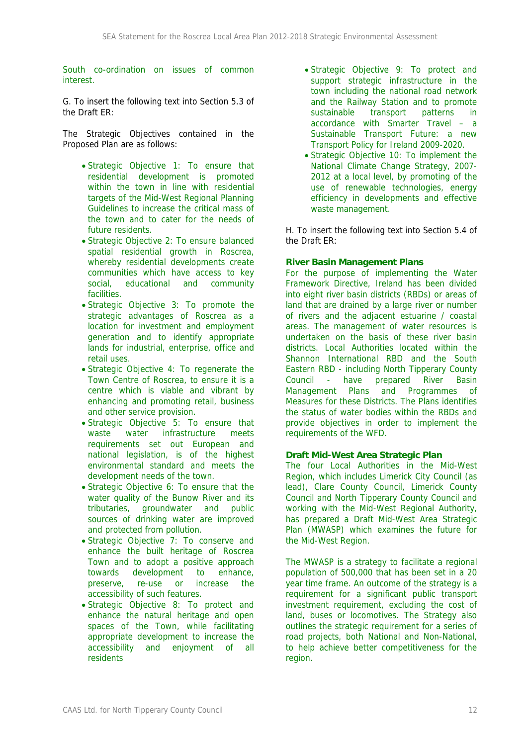South co-ordination on issues of common interest.

G. To insert the following text into Section 5.3 of the Draft ER:

The Strategic Objectives contained in the Proposed Plan are as follows:

- Strategic Objective 1: To ensure that residential development is promoted within the town in line with residential targets of the Mid-West Regional Planning Guidelines to increase the critical mass of the town and to cater for the needs of future residents.
- Strategic Objective 2: To ensure balanced spatial residential growth in Roscrea, whereby residential developments create communities which have access to key social, educational and community facilities.
- Strategic Objective 3: To promote the strategic advantages of Roscrea as a location for investment and employment generation and to identify appropriate lands for industrial, enterprise, office and retail uses.
- Strategic Objective 4: To regenerate the Town Centre of Roscrea, to ensure it is a centre which is viable and vibrant by enhancing and promoting retail, business and other service provision.
- Strategic Objective 5: To ensure that waste water infrastructure meets requirements set out European and national legislation, is of the highest environmental standard and meets the development needs of the town.
- Strategic Objective 6: To ensure that the water quality of the Bunow River and its tributaries, groundwater and public sources of drinking water are improved and protected from pollution.
- Strategic Objective 7: To conserve and enhance the built heritage of Roscrea Town and to adopt a positive approach towards development to enhance, preserve, re-use or increase the accessibility of such features.
- Strategic Objective 8: To protect and enhance the natural heritage and open spaces of the Town, while facilitating appropriate development to increase the accessibility and enjoyment of all residents
- Strategic Objective 9: To protect and support strategic infrastructure in the town including the national road network and the Railway Station and to promote sustainable transport patterns in accordance with Smarter Travel – a Sustainable Transport Future: a new Transport Policy for Ireland 2009-2020.
- Strategic Objective 10: To implement the National Climate Change Strategy, 2007- 2012 at a local level, by promoting of the use of renewable technologies, energy efficiency in developments and effective waste management.

H. To insert the following text into Section 5.4 of the Draft ER:

### **River Basin Management Plans**

For the purpose of implementing the Water Framework Directive, Ireland has been divided into eight river basin districts (RBDs) or areas of land that are drained by a large river or number of rivers and the adjacent estuarine / coastal areas. The management of water resources is undertaken on the basis of these river basin districts. Local Authorities located within the Shannon International RBD and the South Eastern RBD - including North Tipperary County Council - have prepared River Basin Management Plans and Programmes of Measures for these Districts. The Plans identifies the status of water bodies within the RBDs and provide objectives in order to implement the requirements of the WFD.

#### **Draft Mid-West Area Strategic Plan**

The four Local Authorities in the Mid-West Region, which includes Limerick City Council (as lead), Clare County Council, Limerick County Council and North Tipperary County Council and working with the Mid-West Regional Authority, has prepared a Draft Mid-West Area Strategic Plan (MWASP) which examines the future for the Mid-West Region.

The MWASP is a strategy to facilitate a regional population of 500,000 that has been set in a 20 year time frame. An outcome of the strategy is a requirement for a significant public transport investment requirement, excluding the cost of land, buses or locomotives. The Strategy also outlines the strategic requirement for a series of road projects, both National and Non-National, to help achieve better competitiveness for the region.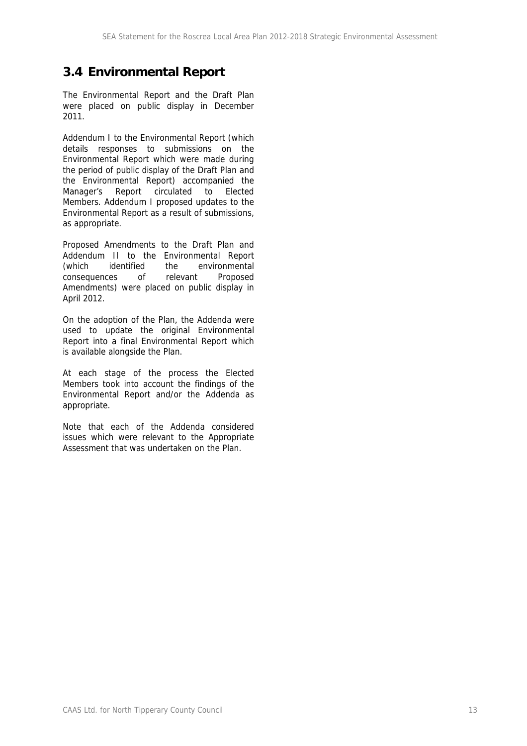### **3.4 Environmental Report**

The Environmental Report and the Draft Plan were placed on public display in December 2011.

Addendum I to the Environmental Report (which details responses to submissions on the Environmental Report which were made during the period of public display of the Draft Plan and the Environmental Report) accompanied the Manager's Report circulated to Elected Members. Addendum I proposed updates to the Environmental Report as a result of submissions, as appropriate.

Proposed Amendments to the Draft Plan and Addendum II to the Environmental Report (which identified the environmental consequences of relevant Proposed Amendments) were placed on public display in April 2012.

On the adoption of the Plan, the Addenda were used to update the original Environmental Report into a final Environmental Report which is available alongside the Plan.

At each stage of the process the Elected Members took into account the findings of the Environmental Report and/or the Addenda as appropriate.

Note that each of the Addenda considered issues which were relevant to the Appropriate Assessment that was undertaken on the Plan.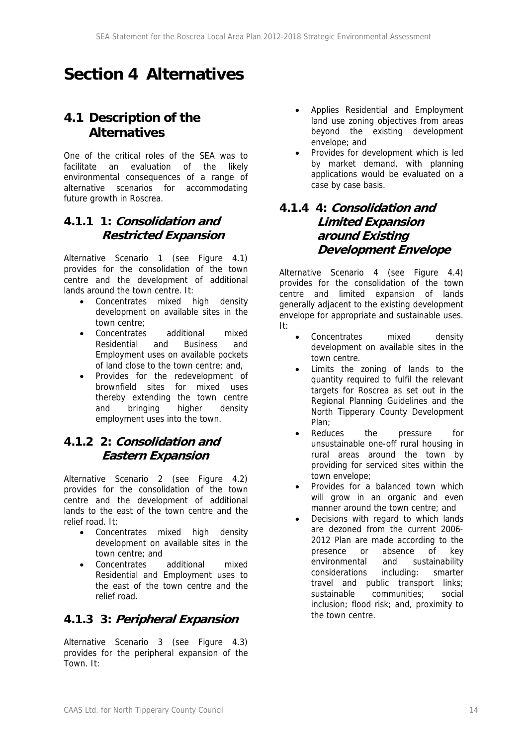## **Section 4 Alternatives**

### **4.1 Description of the Alternatives**

One of the critical roles of the SEA was to facilitate an evaluation of the likely environmental consequences of a range of alternative scenarios for accommodating future growth in Roscrea.

### **4.1.1 1: Consolidation and Restricted Expansion**

Alternative Scenario 1 (see Figure 4.1) provides for the consolidation of the town centre and the development of additional lands around the town centre. It:

- Concentrates mixed high density development on available sites in the town centre;
- Concentrates additional mixed Residential and Business and Employment uses on available pockets of land close to the town centre; and,
- Provides for the redevelopment of brownfield sites for mixed uses thereby extending the town centre and bringing higher density employment uses into the town.

### **4.1.2 2: Consolidation and Eastern Expansion**

Alternative Scenario 2 (see Figure 4.2) provides for the consolidation of the town centre and the development of additional lands to the east of the town centre and the relief road. It:

- Concentrates mixed high density development on available sites in the town centre; and
- Concentrates additional mixed Residential and Employment uses to the east of the town centre and the relief road.

### **4.1.3 3: Peripheral Expansion**

Alternative Scenario 3 (see Figure 4.3) provides for the peripheral expansion of the Town. It:

- Applies Residential and Employment land use zoning objectives from areas beyond the existing development envelope; and
- Provides for development which is led by market demand, with planning applications would be evaluated on a case by case basis.

### **4.1.4 4: Consolidation and Limited Expansion around Existing Development Envelope**

Alternative Scenario 4 (see Figure 4.4) provides for the consolidation of the town centre and limited expansion of lands generally adjacent to the existing development envelope for appropriate and sustainable uses. It:

- Concentrates mixed density development on available sites in the town centre.
- Limits the zoning of lands to the quantity required to fulfil the relevant targets for Roscrea as set out in the Regional Planning Guidelines and the North Tipperary County Development Plan;
- Reduces the pressure for unsustainable one-off rural housing in rural areas around the town by providing for serviced sites within the town envelope;
- Provides for a balanced town which will grow in an organic and even manner around the town centre; and
- Decisions with regard to which lands are dezoned from the current 2006- 2012 Plan are made according to the presence or absence of key environmental and sustainability considerations including: smarter travel and public transport links; sustainable communities; social inclusion; flood risk; and, proximity to the town centre.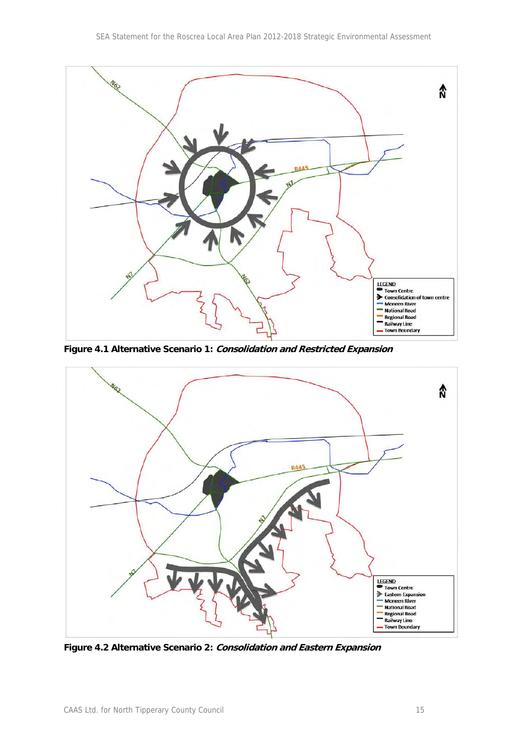

**Figure 4.1 Alternative Scenario 1: Consolidation and Restricted Expansion** 



**Figure 4.2 Alternative Scenario 2: Consolidation and Eastern Expansion**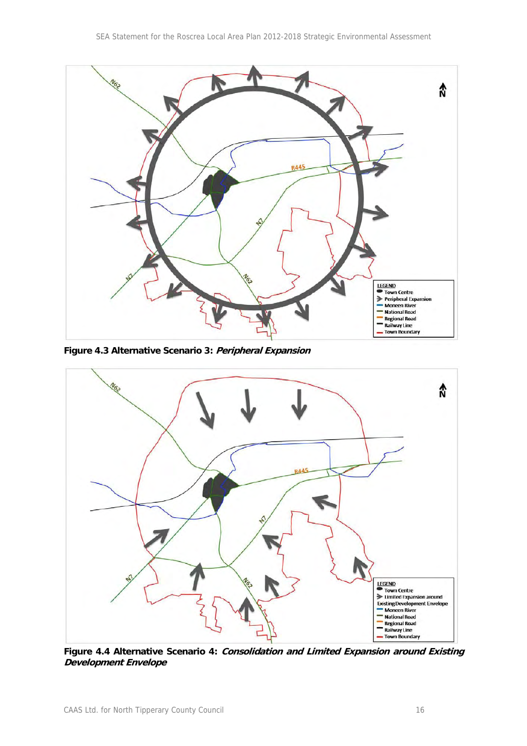

**Figure 4.3 Alternative Scenario 3: Peripheral Expansion** 



**Figure 4.4 Alternative Scenario 4: Consolidation and Limited Expansion around Existing Development Envelope**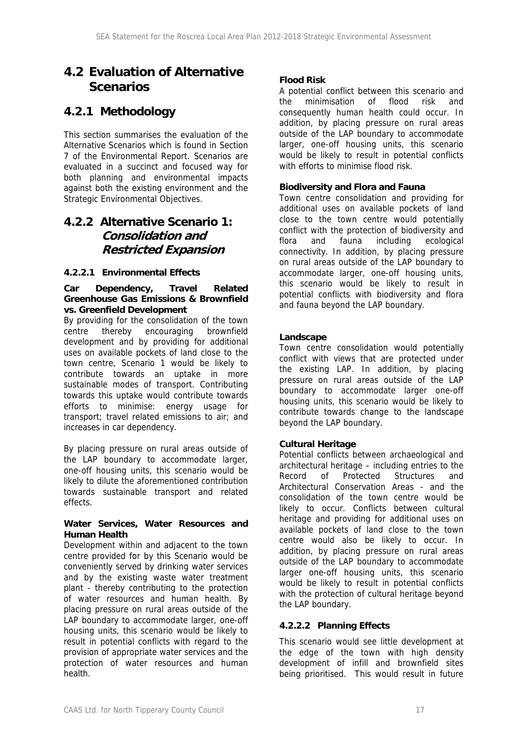### **4.2 Evaluation of Alternative Scenarios**

### **4.2.1 Methodology**

This section summarises the evaluation of the Alternative Scenarios which is found in Section 7 of the Environmental Report. Scenarios are evaluated in a succinct and focused way for both planning and environmental impacts against both the existing environment and the Strategic Environmental Objectives.

### **4.2.2 Alternative Scenario 1: Consolidation and Restricted Expansion**

### **4.2.2.1 Environmental Effects**

#### **Car Dependency, Travel Related Greenhouse Gas Emissions & Brownfield vs. Greenfield Development**

By providing for the consolidation of the town centre thereby encouraging brownfield development and by providing for additional uses on available pockets of land close to the town centre, Scenario 1 would be likely to contribute towards an uptake in more sustainable modes of transport. Contributing towards this uptake would contribute towards efforts to minimise: energy usage for transport; travel related emissions to air; and increases in car dependency.

By placing pressure on rural areas outside of the LAP boundary to accommodate larger, one-off housing units, this scenario would be likely to dilute the aforementioned contribution towards sustainable transport and related effects.

#### **Water Services, Water Resources and Human Health**

Development within and adjacent to the town centre provided for by this Scenario would be conveniently served by drinking water services and by the existing waste water treatment plant - thereby contributing to the protection of water resources and human health. By placing pressure on rural areas outside of the LAP boundary to accommodate larger, one-off housing units, this scenario would be likely to result in potential conflicts with regard to the provision of appropriate water services and the protection of water resources and human health.

### **Flood Risk**

A potential conflict between this scenario and the minimisation of flood risk and consequently human health could occur. In addition, by placing pressure on rural areas outside of the LAP boundary to accommodate larger, one-off housing units, this scenario would be likely to result in potential conflicts with efforts to minimise flood risk.

### **Biodiversity and Flora and Fauna**

Town centre consolidation and providing for additional uses on available pockets of land close to the town centre would potentially conflict with the protection of biodiversity and flora and fauna including ecological connectivity. In addition, by placing pressure on rural areas outside of the LAP boundary to accommodate larger, one-off housing units, this scenario would be likely to result in potential conflicts with biodiversity and flora and fauna beyond the LAP boundary.

### **Landscape**

Town centre consolidation would potentially conflict with views that are protected under the existing LAP. In addition, by placing pressure on rural areas outside of the LAP boundary to accommodate larger one-off housing units, this scenario would be likely to contribute towards change to the landscape beyond the LAP boundary.

### **Cultural Heritage**

Potential conflicts between archaeological and architectural heritage – including entries to the Record of Protected Structures and Architectural Conservation Areas - and the consolidation of the town centre would be likely to occur. Conflicts between cultural heritage and providing for additional uses on available pockets of land close to the town centre would also be likely to occur. In addition, by placing pressure on rural areas outside of the LAP boundary to accommodate larger one-off housing units, this scenario would be likely to result in potential conflicts with the protection of cultural heritage beyond the LAP boundary.

### **4.2.2.2 Planning Effects**

This scenario would see little development at the edge of the town with high density development of infill and brownfield sites being prioritised. This would result in future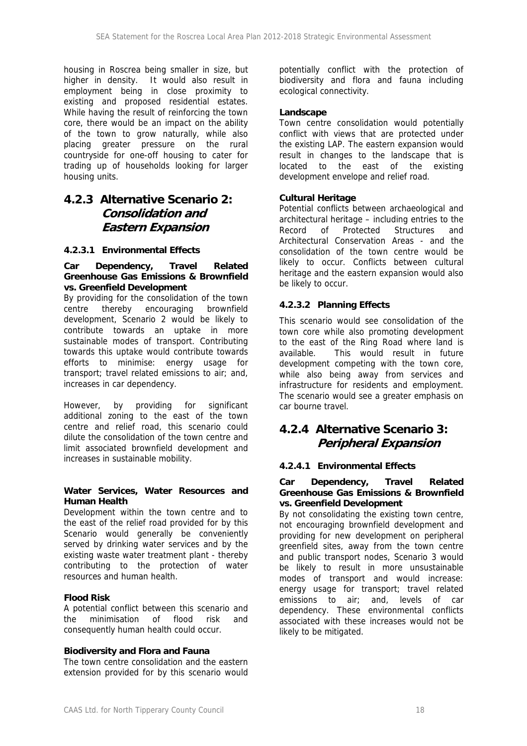housing in Roscrea being smaller in size, but higher in density. It would also result in employment being in close proximity to existing and proposed residential estates. While having the result of reinforcing the town core, there would be an impact on the ability of the town to grow naturally, while also placing greater pressure on the rural countryside for one-off housing to cater for trading up of households looking for larger housing units.

### **4.2.3 Alternative Scenario 2: Consolidation and Eastern Expansion**

### **4.2.3.1 Environmental Effects**

### **Car Dependency, Travel Related Greenhouse Gas Emissions & Brownfield vs. Greenfield Development**

By providing for the consolidation of the town centre thereby encouraging brownfield development, Scenario 2 would be likely to contribute towards an uptake in more sustainable modes of transport. Contributing towards this uptake would contribute towards efforts to minimise: energy usage for transport; travel related emissions to air; and, increases in car dependency.

However, by providing for significant additional zoning to the east of the town centre and relief road, this scenario could dilute the consolidation of the town centre and limit associated brownfield development and increases in sustainable mobility.

### **Water Services, Water Resources and Human Health**

Development within the town centre and to the east of the relief road provided for by this Scenario would generally be conveniently served by drinking water services and by the existing waste water treatment plant - thereby contributing to the protection of water resources and human health.

#### **Flood Risk**

A potential conflict between this scenario and the minimisation of flood risk and consequently human health could occur.

#### **Biodiversity and Flora and Fauna**

The town centre consolidation and the eastern extension provided for by this scenario would potentially conflict with the protection of biodiversity and flora and fauna including ecological connectivity.

### **Landscape**

Town centre consolidation would potentially conflict with views that are protected under the existing LAP. The eastern expansion would result in changes to the landscape that is located to the east of the existing development envelope and relief road.

#### **Cultural Heritage**

Potential conflicts between archaeological and architectural heritage – including entries to the Record of Protected Structures and Architectural Conservation Areas - and the consolidation of the town centre would be likely to occur. Conflicts between cultural heritage and the eastern expansion would also be likely to occur.

#### **4.2.3.2 Planning Effects**

This scenario would see consolidation of the town core while also promoting development to the east of the Ring Road where land is available. This would result in future development competing with the town core, while also being away from services and infrastructure for residents and employment. The scenario would see a greater emphasis on car bourne travel.

### **4.2.4 Alternative Scenario 3: Peripheral Expansion**

### **4.2.4.1 Environmental Effects**

#### **Car Dependency, Travel Related Greenhouse Gas Emissions & Brownfield vs. Greenfield Development**

By not consolidating the existing town centre, not encouraging brownfield development and providing for new development on peripheral greenfield sites, away from the town centre and public transport nodes, Scenario 3 would be likely to result in more unsustainable modes of transport and would increase: energy usage for transport; travel related emissions to air; and, levels of car dependency. These environmental conflicts associated with these increases would not be likely to be mitigated.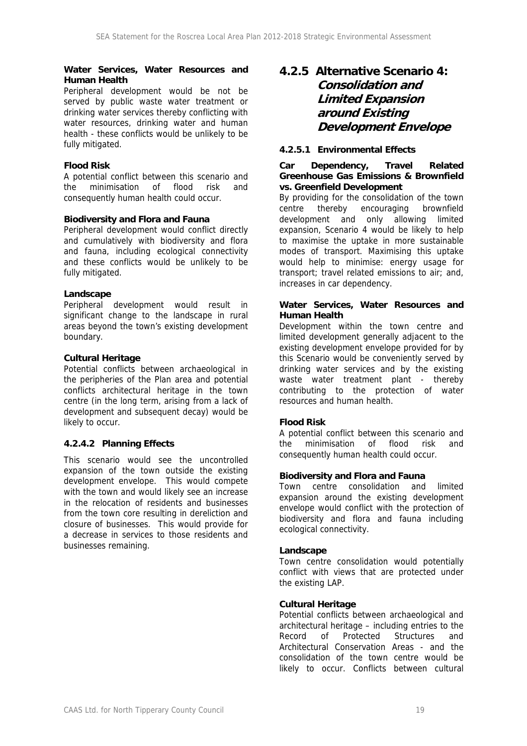#### **Water Services, Water Resources and Human Health**

Peripheral development would be not be served by public waste water treatment or drinking water services thereby conflicting with water resources, drinking water and human health - these conflicts would be unlikely to be fully mitigated.

### **Flood Risk**

A potential conflict between this scenario and the minimisation of flood risk and consequently human health could occur.

### **Biodiversity and Flora and Fauna**

Peripheral development would conflict directly and cumulatively with biodiversity and flora and fauna, including ecological connectivity and these conflicts would be unlikely to be fully mitigated.

#### **Landscape**

Peripheral development would result in significant change to the landscape in rural areas beyond the town's existing development boundary.

#### **Cultural Heritage**

Potential conflicts between archaeological in the peripheries of the Plan area and potential conflicts architectural heritage in the town centre (in the long term, arising from a lack of development and subsequent decay) would be likely to occur.

### **4.2.4.2 Planning Effects**

This scenario would see the uncontrolled expansion of the town outside the existing development envelope. This would compete with the town and would likely see an increase in the relocation of residents and businesses from the town core resulting in dereliction and closure of businesses. This would provide for a decrease in services to those residents and businesses remaining.

### **4.2.5 Alternative Scenario 4: Consolidation and Limited Expansion around Existing Development Envelope**

### **4.2.5.1 Environmental Effects**

#### **Car Dependency, Travel Related Greenhouse Gas Emissions & Brownfield vs. Greenfield Development**

By providing for the consolidation of the town centre thereby encouraging brownfield development and only allowing limited expansion, Scenario 4 would be likely to help to maximise the uptake in more sustainable modes of transport. Maximising this uptake would help to minimise: energy usage for transport; travel related emissions to air; and, increases in car dependency.

### **Water Services, Water Resources and Human Health**

Development within the town centre and limited development generally adjacent to the existing development envelope provided for by this Scenario would be conveniently served by drinking water services and by the existing waste water treatment plant - thereby contributing to the protection of water resources and human health.

### **Flood Risk**

A potential conflict between this scenario and the minimisation of flood risk and consequently human health could occur.

### **Biodiversity and Flora and Fauna**

Town centre consolidation and limited expansion around the existing development envelope would conflict with the protection of biodiversity and flora and fauna including ecological connectivity.

#### **Landscape**

Town centre consolidation would potentially conflict with views that are protected under the existing LAP.

#### **Cultural Heritage**

Potential conflicts between archaeological and architectural heritage – including entries to the Record of Protected Structures and Architectural Conservation Areas - and the consolidation of the town centre would be likely to occur. Conflicts between cultural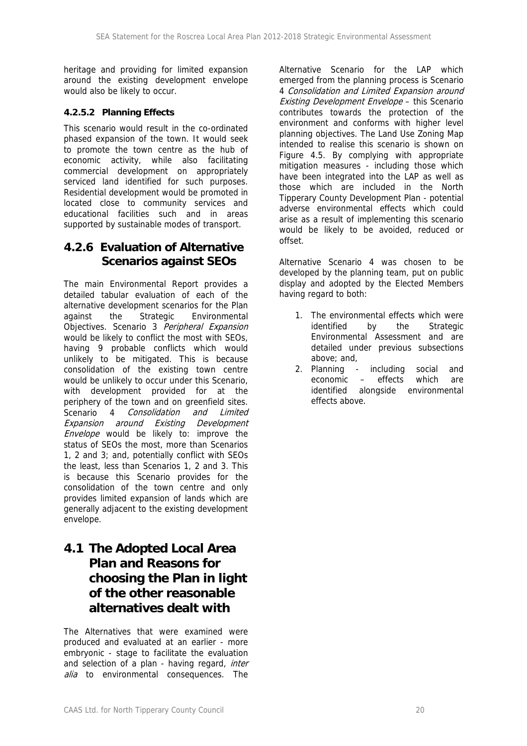heritage and providing for limited expansion around the existing development envelope would also be likely to occur.

### **4.2.5.2 Planning Effects**

This scenario would result in the co-ordinated phased expansion of the town. It would seek to promote the town centre as the hub of economic activity, while also facilitating commercial development on appropriately serviced land identified for such purposes. Residential development would be promoted in located close to community services and educational facilities such and in areas supported by sustainable modes of transport.

### **4.2.6 Evaluation of Alternative Scenarios against SEOs**

The main Environmental Report provides a detailed tabular evaluation of each of the alternative development scenarios for the Plan against the Strategic Environmental Objectives. Scenario 3 Peripheral Expansion would be likely to conflict the most with SEOs, having 9 probable conflicts which would unlikely to be mitigated. This is because consolidation of the existing town centre would be unlikely to occur under this Scenario, with development provided for at the periphery of the town and on greenfield sites. Scenario 4 Consolidation and Limited Expansion around Existing Development Envelope would be likely to: improve the status of SEOs the most, more than Scenarios 1, 2 and 3; and, potentially conflict with SEOs the least, less than Scenarios 1, 2 and 3. This is because this Scenario provides for the consolidation of the town centre and only provides limited expansion of lands which are generally adjacent to the existing development envelope.

### **4.1 The Adopted Local Area Plan and Reasons for choosing the Plan in light of the other reasonable alternatives dealt with**

The Alternatives that were examined were produced and evaluated at an earlier - more embryonic - stage to facilitate the evaluation and selection of a plan - having regard, *inter* alia to environmental consequences. The

Alternative Scenario for the LAP which emerged from the planning process is Scenario 4 Consolidation and Limited Expansion around Existing Development Envelope – this Scenario contributes towards the protection of the environment and conforms with higher level planning objectives. The Land Use Zoning Map intended to realise this scenario is shown on Figure 4.5. By complying with appropriate mitigation measures - including those which have been integrated into the LAP as well as those which are included in the North Tipperary County Development Plan - potential adverse environmental effects which could arise as a result of implementing this scenario would be likely to be avoided, reduced or offset.

Alternative Scenario 4 was chosen to be developed by the planning team, put on public display and adopted by the Elected Members having regard to both:

- 1. The environmental effects which were identified by the Strategic Environmental Assessment and are detailed under previous subsections above; and,
- 2. Planning including social and economic – effects which are identified alongside environmental effects above.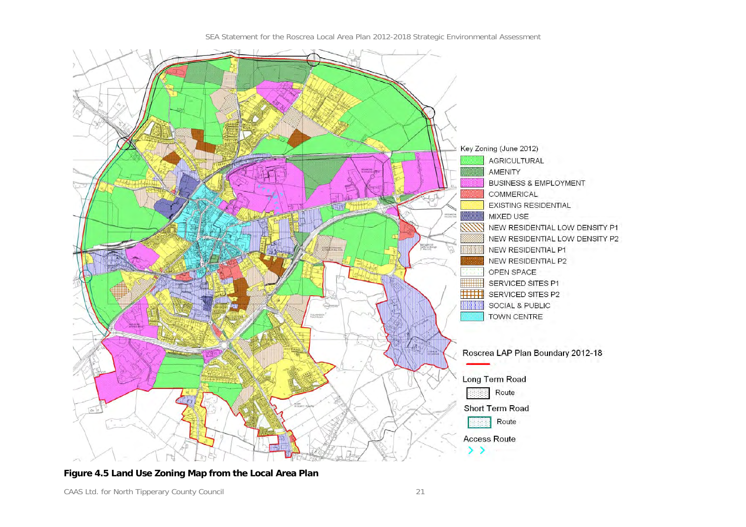

SEA Statement for the Roscrea Local Area Plan 2012-2018 Strategic Environmental Assessment

### **Figure 4.5 Land Use Zoning Map from the Local Area Plan**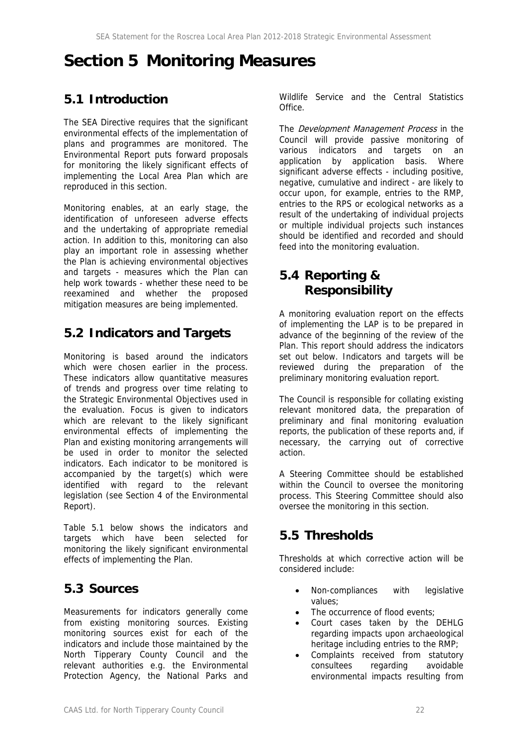## **Section 5 Monitoring Measures**

### **5.1 Introduction**

The SEA Directive requires that the significant environmental effects of the implementation of plans and programmes are monitored. The Environmental Report puts forward proposals for monitoring the likely significant effects of implementing the Local Area Plan which are reproduced in this section.

Monitoring enables, at an early stage, the identification of unforeseen adverse effects and the undertaking of appropriate remedial action. In addition to this, monitoring can also play an important role in assessing whether the Plan is achieving environmental objectives and targets - measures which the Plan can help work towards - whether these need to be reexamined and whether the proposed mitigation measures are being implemented.

### **5.2 Indicators and Targets**

Monitoring is based around the indicators which were chosen earlier in the process. These indicators allow quantitative measures of trends and progress over time relating to the Strategic Environmental Objectives used in the evaluation. Focus is given to indicators which are relevant to the likely significant environmental effects of implementing the Plan and existing monitoring arrangements will be used in order to monitor the selected indicators. Each indicator to be monitored is accompanied by the target(s) which were identified with regard to the relevant legislation (see Section 4 of the Environmental Report).

Table 5.1 below shows the indicators and targets which have been selected for monitoring the likely significant environmental effects of implementing the Plan.

### **5.3 Sources**

Measurements for indicators generally come from existing monitoring sources. Existing monitoring sources exist for each of the indicators and include those maintained by the North Tipperary County Council and the relevant authorities e.g. the Environmental Protection Agency, the National Parks and Wildlife Service and the Central Statistics Office.

The *Development Management Process* in the Council will provide passive monitoring of various indicators and targets on an application by application basis. Where significant adverse effects - including positive, negative, cumulative and indirect - are likely to occur upon, for example, entries to the RMP, entries to the RPS or ecological networks as a result of the undertaking of individual projects or multiple individual projects such instances should be identified and recorded and should feed into the monitoring evaluation.

### **5.4 Reporting & Responsibility**

A monitoring evaluation report on the effects of implementing the LAP is to be prepared in advance of the beginning of the review of the Plan. This report should address the indicators set out below. Indicators and targets will be reviewed during the preparation of the preliminary monitoring evaluation report.

The Council is responsible for collating existing relevant monitored data, the preparation of preliminary and final monitoring evaluation reports, the publication of these reports and, if necessary, the carrying out of corrective action.

A Steering Committee should be established within the Council to oversee the monitoring process. This Steering Committee should also oversee the monitoring in this section.

### **5.5 Thresholds**

Thresholds at which corrective action will be considered include:

- Non-compliances with legislative values;
- The occurrence of flood events;
- Court cases taken by the DEHLG regarding impacts upon archaeological heritage including entries to the RMP;
- Complaints received from statutory consultees regarding avoidable environmental impacts resulting from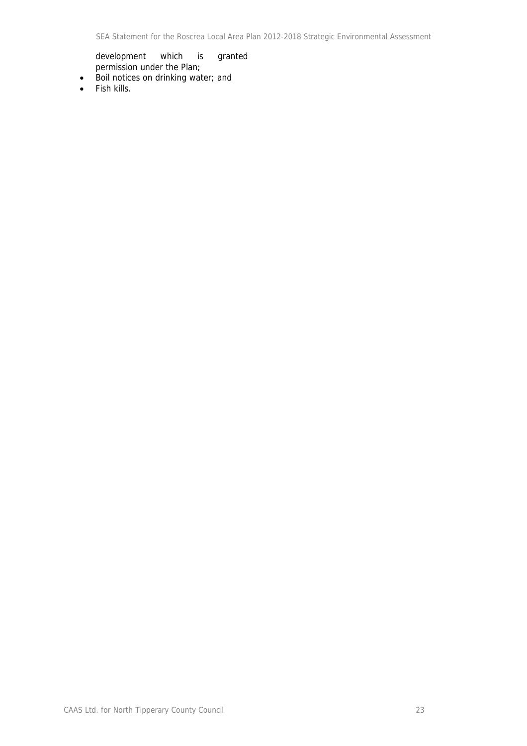development which is granted permission under the Plan;

- Boil notices on drinking water; and
- Fish kills.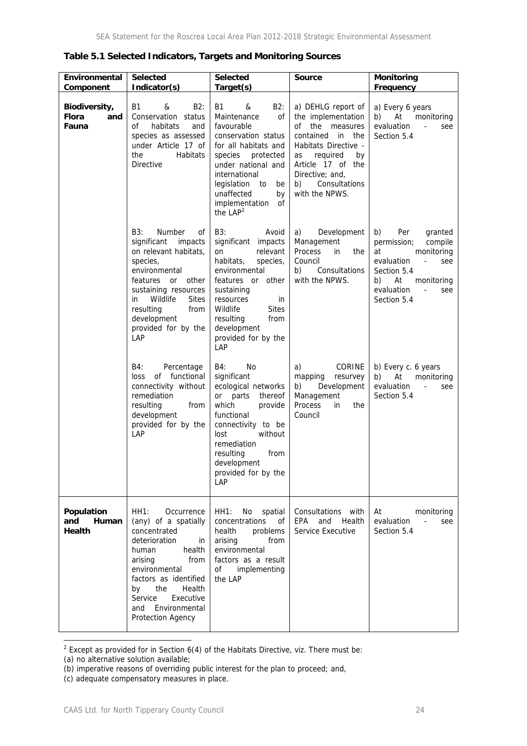| Environmental<br>Component             | <b>Selected</b><br>Indicator(s)                                                                                                                                                                                                                               | <b>Selected</b><br>Target(s)                                                                                                                                                                                                                                  | <b>Source</b>                                                                                                                                                                                                    | Monitoring<br>Frequency                                                                                                                                                                                       |
|----------------------------------------|---------------------------------------------------------------------------------------------------------------------------------------------------------------------------------------------------------------------------------------------------------------|---------------------------------------------------------------------------------------------------------------------------------------------------------------------------------------------------------------------------------------------------------------|------------------------------------------------------------------------------------------------------------------------------------------------------------------------------------------------------------------|---------------------------------------------------------------------------------------------------------------------------------------------------------------------------------------------------------------|
| Biodiversity,<br>Flora<br>and<br>Fauna | Β1<br>&<br>B2:<br>Conservation status<br>of<br>habitats<br>and<br>species as assessed<br>under Article 17 of<br>Habitats<br>the<br><b>Directive</b>                                                                                                           | <b>B1</b><br>B2:<br>&<br>Maintenance<br>οf<br>favourable<br>conservation status<br>for all habitats and<br>species<br>protected<br>under national and<br>international<br>legislation to<br>be<br>unaffected<br>by<br>implementation<br>οf<br>the $LAP2$      | a) DEHLG report of<br>the implementation<br>of the measures<br>contained in the<br>Habitats Directive -<br>required<br>as<br>by<br>Article 17 of the<br>Directive; and,<br>b)<br>Consultations<br>with the NPWS. | a) Every 6 years<br>b)<br>At<br>monitoring<br>evaluation<br>$\mathbb{Z}^{\times}$<br>see<br>Section 5.4                                                                                                       |
|                                        | Number<br>B3:<br>οf<br>significant<br>impacts<br>on relevant habitats,<br>species,<br>environmental<br>or<br>other<br>features<br>sustaining resources<br>Wildlife<br><b>Sites</b><br>in<br>from<br>resulting<br>development<br>provided for by the<br>LAP    | <b>B3:</b><br>Avoid<br>significant impacts<br>on<br>relevant<br>habitats,<br>species,<br>environmental<br>other<br>features or<br>sustaining<br>resources<br>in<br>Wildlife<br><b>Sites</b><br>resulting<br>from<br>development<br>provided for by the<br>LAP | Development<br>a)<br>Management<br>Process<br>in<br>the<br>Council<br>b)<br>Consultations<br>with the NPWS.                                                                                                      | Per<br>b)<br>granted<br>permission;<br>compile<br>monitoring<br>at<br>evaluation<br>$\omega_{\rm{max}}$<br>see<br>Section 5.4<br>b)<br>At<br>monitoring<br>evaluation<br>$\blacksquare$<br>see<br>Section 5.4 |
|                                        | B4:<br>Percentage<br>of functional<br>loss<br>connectivity without<br>remediation<br>resulting<br>from<br>development<br>provided for by the<br>LAP                                                                                                           | B4:<br>No<br>significant<br>ecological networks<br>or parts<br>thereof<br>which<br>provide<br>functional<br>connectivity to be<br>without<br>lost<br>remediation<br>resulting<br>from<br>development<br>provided for by the<br>LAP                            | <b>CORINE</b><br>a)<br>mapping<br>resurvey<br>Development<br>b)<br>Management<br>Process<br>in<br>the<br>Council                                                                                                 | b) Every c. 6 years<br>b)<br>At<br>monitoring<br>evaluation<br>$\blacksquare$<br>see<br>Section 5.4                                                                                                           |
| Population<br>and<br>Human<br>Health   | HH1:<br>Occurrence<br>(any) of a spatially<br>concentrated<br>deterioration<br>in<br>health<br>human<br>from<br>arising<br>environmental<br>factors as identified<br>by<br>the<br>Health<br>Service<br>Executive<br>Environmental<br>and<br>Protection Agency | HH1:<br>No<br>spatial<br>concentrations<br>of<br>health<br>problems<br>arising<br>from<br>environmental<br>factors as a result<br><b>of</b><br>implementing<br>the LAP                                                                                        | Consultations with<br><b>EPA</b><br>and<br>Health<br>Service Executive                                                                                                                                           | At<br>monitoring<br>evaluation<br>$\overline{a}$<br>see<br>Section 5.4                                                                                                                                        |

 2 Except as provided for in Section 6(4) of the Habitats Directive, viz. There must be:

<sup>(</sup>a) no alternative solution available;

<sup>(</sup>b) imperative reasons of overriding public interest for the plan to proceed; and,

<sup>(</sup>c) adequate compensatory measures in place.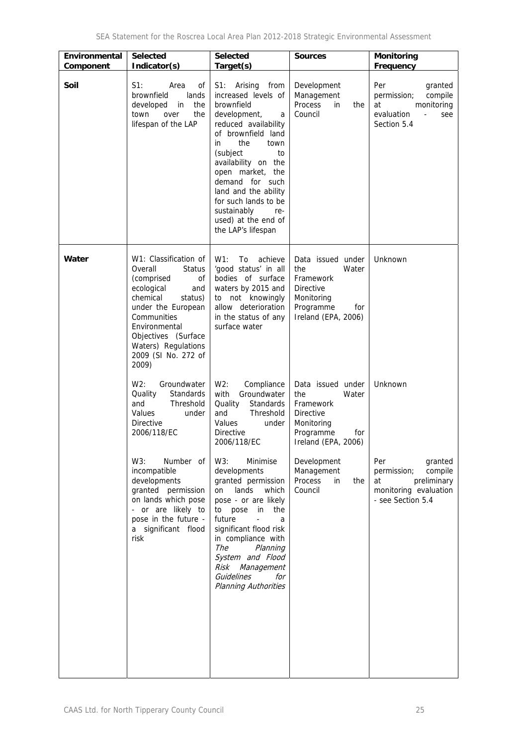| Environmental<br>Component | <b>Selected</b><br>Indicator(s)                                                                                                                                                                                                                       | <b>Selected</b><br>Target(s)                                                                                                                                                                                                                                                                                                                        | <b>Sources</b>                                                                                                              | <b>Monitoring</b><br>Frequency                                                                               |
|----------------------------|-------------------------------------------------------------------------------------------------------------------------------------------------------------------------------------------------------------------------------------------------------|-----------------------------------------------------------------------------------------------------------------------------------------------------------------------------------------------------------------------------------------------------------------------------------------------------------------------------------------------------|-----------------------------------------------------------------------------------------------------------------------------|--------------------------------------------------------------------------------------------------------------|
| Soil                       | $S1$ :<br>Area<br>οf<br>lands<br>brownfield<br>developed<br>in<br>the<br>the<br>town<br>over<br>lifespan of the LAP                                                                                                                                   | S1: Arising<br>from<br>increased levels of<br>brownfield<br>development,<br>a<br>reduced availability<br>of brownfield land<br>the<br>town<br>in<br>(subject<br>to<br>availability on the<br>open market, the<br>demand for such<br>land and the ability<br>for such lands to be<br>sustainably<br>re-<br>used) at the end of<br>the LAP's lifespan | Development<br>Management<br>Process<br>in<br>the<br>Council                                                                | Per<br>granted<br>compile<br>permission;<br>at<br>monitoring<br>evaluation<br>$\omega$<br>see<br>Section 5.4 |
| Water                      | W1: Classification of<br>Overall<br><b>Status</b><br>(comprised<br>of<br>ecological<br>and<br>chemical<br>status)<br>under the European<br>Communities<br>Environmental<br>Objectives (Surface<br>Waters) Regulations<br>2009 (SI No. 272 of<br>2009) | W1:<br>To<br>achieve<br>'good status' in all<br>bodies of surface<br>waters by 2015 and<br>to not knowingly<br>allow deterioration<br>in the status of any<br>surface water                                                                                                                                                                         | Data issued under<br>the<br>Water<br>Framework<br><b>Directive</b><br>Monitoring<br>Programme<br>for<br>Ireland (EPA, 2006) | Unknown                                                                                                      |
|                            | W2:<br>Groundwater<br>Quality<br><b>Standards</b><br>Threshold<br>and<br>Values<br>under<br><b>Directive</b><br>2006/118/EC                                                                                                                           | W2:<br>Compliance<br>Groundwater<br>with<br>Quality<br>Standards<br>Threshold<br>and<br>Values<br>under<br>Directive<br>2006/118/EC                                                                                                                                                                                                                 | Data issued under<br>the<br>Water<br>Framework<br><b>Directive</b><br>Monitoring<br>Programme<br>for<br>Ireland (EPA, 2006) | Unknown                                                                                                      |
|                            | W3:<br>Number of<br>incompatible<br>developments<br>granted permission<br>on lands which pose<br>- or are likely to<br>pose in the future -<br>a significant flood<br>risk                                                                            | W3:<br>Minimise<br>developments<br>granted permission<br>lands<br>which<br>on<br>pose - or are likely<br>to pose<br>in<br>the<br>future<br>$\omega$<br>a<br>significant flood risk<br>in compliance with<br>The<br>Planning<br>System and Flood<br>Risk Management<br>Guidelines<br>for<br><b>Planning Authorities</b>                              | Development<br>Management<br>Process<br>in<br>the<br>Council                                                                | Per<br>granted<br>permission;<br>compile<br>at<br>preliminary<br>monitoring evaluation<br>- see Section 5.4  |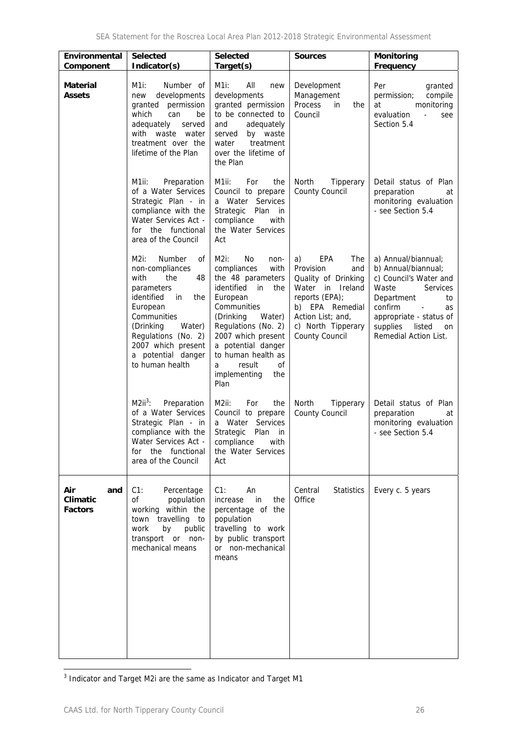| Environmental<br>Component               | <b>Selected</b><br>Indicator(s)                                                                                                                                                                                                               | <b>Selected</b><br>Target(s)                                                                                                                                                                                                                                                              | <b>Sources</b>                                                                                                                                                                           | <b>Monitoring</b><br>Frequency                                                                                                                                                                                                                    |
|------------------------------------------|-----------------------------------------------------------------------------------------------------------------------------------------------------------------------------------------------------------------------------------------------|-------------------------------------------------------------------------------------------------------------------------------------------------------------------------------------------------------------------------------------------------------------------------------------------|------------------------------------------------------------------------------------------------------------------------------------------------------------------------------------------|---------------------------------------------------------------------------------------------------------------------------------------------------------------------------------------------------------------------------------------------------|
| <b>Material</b><br><b>Assets</b>         | M1i:<br>Number of<br>developments<br>new<br>permission<br>granted<br>which<br>can<br>be<br>adequately<br>served<br>with waste water<br>treatment over the<br>lifetime of the Plan                                                             | M1i:<br>All<br>new<br>developments<br>granted permission<br>to be connected to<br>and<br>adequately<br>by waste<br>served<br>water<br>treatment<br>over the lifetime of<br>the Plan                                                                                                       | Development<br>Management<br>Process<br>in<br>the<br>Council                                                                                                                             | Per<br>granted<br>compile<br>permission;<br>at<br>monitoring<br>evaluation<br>$\blacksquare$<br>see<br>Section 5.4                                                                                                                                |
|                                          | M1ii:<br>Preparation<br>of a Water Services<br>Strategic Plan - in<br>compliance with the<br>Water Services Act -<br>for the functional<br>area of the Council                                                                                | M1ii:<br>For<br>the<br>Council to prepare<br>a Water Services<br>Strategic<br>Plan in<br>compliance<br>with<br>the Water Services<br>Act                                                                                                                                                  | North<br>Tipperary<br>County Council                                                                                                                                                     | Detail status of Plan<br>preparation<br>at<br>monitoring evaluation<br>- see Section 5.4                                                                                                                                                          |
|                                          | M2i:<br>Number<br>οf<br>non-compliances<br>with<br>the<br>48<br>parameters<br>identified<br>in<br>the<br>European<br>Communities<br>(Drinking<br>Water)<br>Regulations (No. 2)<br>2007 which present<br>a potential danger<br>to human health | $M2i$ :<br>No.<br>non-<br>compliances<br>with<br>the 48 parameters<br>identified in<br>the<br>European<br>Communities<br>(Drinking<br>Water)<br>Regulations (No. 2)<br>2007 which present<br>a potential danger<br>to human health as<br>result<br>οf<br>a<br>implementing<br>the<br>Plan | EPA<br>The<br>a)<br>Provision<br>and<br>Quality of Drinking<br>Water in Ireland<br>reports (EPA);<br>b) EPA Remedial<br>Action List; and,<br>c) North Tipperary<br><b>County Council</b> | a) Annual/biannual;<br>b) Annual/biannual;<br>c) Council's Water and<br>Waste<br><b>Services</b><br>Department<br>to<br>confirm<br>as<br>$\overline{\phantom{a}}$<br>appropriate - status of<br>supplies<br>listed<br>on<br>Remedial Action List. |
|                                          | $M2ii^3$ :<br>Preparation<br>of a Water Services<br>Strategic Plan - in<br>compliance with the<br>Water Services Act -<br>for the functional<br>area of the Council                                                                           | M2ii:<br>For<br>the<br>Council to prepare<br>a Water Services<br>Strategic Plan in<br>compliance with<br>the Water Services<br>Act                                                                                                                                                        | Tipperary<br>North<br>County Council                                                                                                                                                     | Detail status of Plan<br>preparation<br>at<br>monitoring evaluation<br>- see Section 5.4                                                                                                                                                          |
| Air<br>and<br>Climatic<br><b>Factors</b> | C1:<br>Percentage<br>οf<br>population<br>working within the<br>travelling to<br>town<br>work<br>by<br>public<br>transport or non-<br>mechanical means                                                                                         | $C1$ :<br>An<br>increase<br>in<br>the<br>percentage of the<br>population<br>travelling to work<br>by public transport<br>or non-mechanical<br>means                                                                                                                                       | Central<br><b>Statistics</b><br>Office                                                                                                                                                   | Every c. 5 years                                                                                                                                                                                                                                  |

3 Indicator and Target M2i are the same as Indicator and Target M1